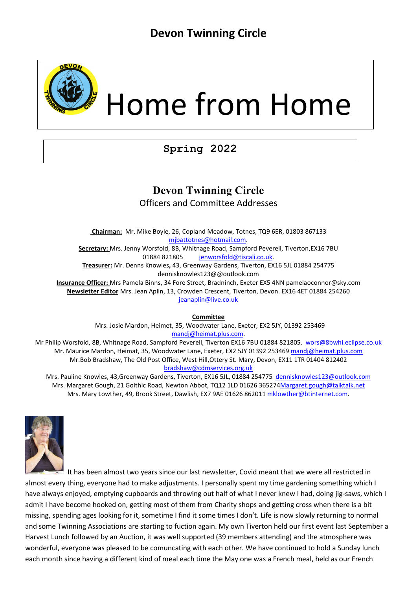

# Home from Home

# **Spring 2022**

### **Devon Twinning Circle** Officers and Committee Addresses

**Chairman:** Mr. Mike Boyle, 26, Copland Meadow, Totnes, TQ9 6ER, 01803 867133 [mjbattotnes@hotmail.com.](mailto:mjbattotnes@hotmail.com)  **Secretary:** Mrs. Jenny Worsfold, 8B, Whitnage Road, Sampford Peverell, Tiverton,EX16 7BU 01884 821805 [jenworsfold@tiscali.co.uk.](mailto:jenworsfold@tiscali.co.uk) **Treasurer:** Mr. Denns Knowles**,** 43, Greenway Gardens, Tiverton, EX16 5JL 01884 254775 dennisknowles123@@outlook.com **Insurance Officer:** Mrs Pamela Binns, 34 Fore Street, Bradninch, Exeter EX5 4NN pamelaoconnor@sky.com **Newsletter Editor** Mrs. Jean Aplin, 13, Crowden Crescent, Tiverton, Devon. EX16 4ET 01884 254260 [jeanaplin@live.co.uk](mailto:jeanaplin@live.co.uk)

**Committee**

Mrs. Josie Mardon, Heimet, 35, Woodwater Lane, Exeter, EX2 5JY, 01392 253469 [mandj@heimat.plus.com.](mailto:mandj@heimat.plus.com)

Mr Philip Worsfold, 8B, Whitnage Road, Sampford Peverell, Tiverton EX16 7BU 01884 821805. [wors@8bwhi.eclipse.co.uk](mailto:wors@8bwhi.eclipse.co.uk) Mr. Maurice Mardon, Heimat, 35, Woodwater Lane, Exeter, EX2 5JY 01392 253469 [mandj@heimat.plus.com](mailto:mandj@heimat.plus.com) Mr.Bob Bradshaw, The Old Post Office, West Hill,Ottery St. Mary, Devon, EX11 1TR 01404 812402 [bradshaw@cdmservices.org.uk](mailto:bradshaw@cdmservices.org.uk)

Mrs. Pauline Knowles, 43,Greenway Gardens, Tiverton, EX16 5JL, 01884 254775 dennisknowles123@outlook.com Mrs. Margaret Gough, 21 Golthic Road, Newton Abbot, TQ12 1LD 01626 36527[4Margaret.gough@talktalk.net](mailto:Margaret.gough@talktalk.net) Mrs. Mary Lowther, 49, Brook Street, Dawlish, EX7 9AE 01626 862011 [mklowther@btinternet.com.](mailto:mklowther@btinternet.com)



 It has been almost two years since our last newsletter, Covid meant that we were all restricted in almost every thing, everyone had to make adjustments. I personally spent my time gardening something which I have always enjoyed, emptying cupboards and throwing out half of what I never knew I had, doing jig-saws, which I admit I have become hooked on, getting most of them from Charity shops and getting cross when there is a bit missing, spending ages looking for it, sometime I find it some times I don't. Life is now slowly returning to normal and some Twinning Associations are starting to fuction again. My own Tiverton held our first event last September a Harvest Lunch followed by an Auction, it was well supported (39 members attending) and the atmosphere was wonderful, everyone was pleased to be comuncating with each other. We have continued to hold a Sunday lunch each month since having a different kind of meal each time the May one was a French meal, held as our French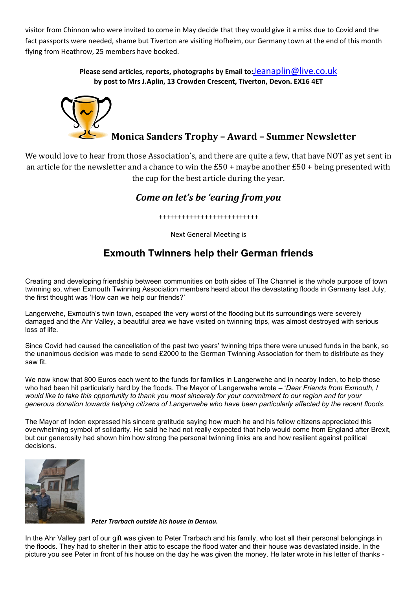visitor from Chinnon who were invited to come in May decide that they would give it a miss due to Covid and the fact passports were needed, shame but Tiverton are visiting Hofheim, our Germany town at the end of this month flying from Heathrow, 25 members have booked.

> **Please send articles, reports, photographs by Email to:**[Jeanaplin@live.co.uk](mailto:Jeanaplin@live.co.uk) **by post to Mrs J.Aplin, 13 Crowden Crescent, Tiverton, Devon. EX16 4ET**



We would love to hear from those Association's, and there are quite a few, that have NOT as yet sent in an article for the newsletter and a chance to win the  $E_50 +$  maybe another  $E_50 +$  being presented with the cup for the best article during the year.

#### *Come on let's be 'earing from you*

++++++++++++++++++++++++++

Next General Meeting is

## **Exmouth Twinners help their German friends**

Creating and developing friendship between communities on both sides of The Channel is the whole purpose of town twinning so, when Exmouth Twinning Association members heard about the devastating floods in Germany last July, the first thought was 'How can we help our friends?'

Langerwehe, Exmouth's twin town, escaped the very worst of the flooding but its surroundings were severely damaged and the Ahr Valley, a beautiful area we have visited on twinning trips, was almost destroyed with serious loss of life.

Since Covid had caused the cancellation of the past two years' twinning trips there were unused funds in the bank, so the unanimous decision was made to send £2000 to the German Twinning Association for them to distribute as they saw fit.

We now know that 800 Euros each went to the funds for families in Langerwehe and in nearby Inden, to help those who had been hit particularly hard by the floods. The Mayor of Langerwehe wrote – '*Dear Friends from Exmouth, I would like to take this opportunity to thank you most sincerely for your commitment to our region and for your generous donation towards helping citizens of Langerwehe who have been particularly affected by the recent floods.*

The Mayor of Inden expressed his sincere gratitude saying how much he and his fellow citizens appreciated this overwhelming symbol of solidarity. He said he had not really expected that help would come from England after Brexit, but our generosity had shown him how strong the personal twinning links are and how resilient against political decisions.



*Peter Trarbach outside his house in Dernau.*

In the Ahr Valley part of our gift was given to Peter Trarbach and his family, who lost all their personal belongings in the floods. They had to shelter in their attic to escape the flood water and their house was devastated inside. In the picture you see Peter in front of his house on the day he was given the money. He later wrote in his letter of thanks -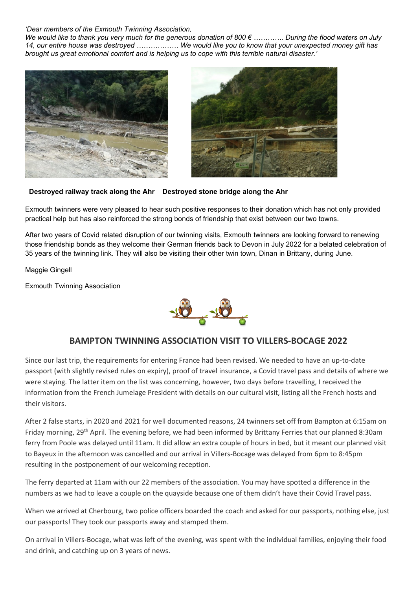#### *'Dear members of the Exmouth Twinning Association,*

*We would like to thank you very much for the generous donation of 800 € …………. During the flood waters on July 14, our entire house was destroyed ……………… We would like you to know that your unexpected money gift has brought us great emotional comfort and is helping us to cope with this terrible natural disaster.'* 





 **Destroyed railway track along the Ahr Destroyed stone bridge along the Ahr**

Exmouth twinners were very pleased to hear such positive responses to their donation which has not only provided practical help but has also reinforced the strong bonds of friendship that exist between our two towns.

After two years of Covid related disruption of our twinning visits, Exmouth twinners are looking forward to renewing those friendship bonds as they welcome their German friends back to Devon in July 2022 for a belated celebration of 35 years of the twinning link. They will also be visiting their other twin town, Dinan in Brittany, during June.

Maggie Gingell

Exmouth Twinning Association



#### **BAMPTON TWINNING ASSOCIATION VISIT TO VILLERS-BOCAGE 2022**

Since our last trip, the requirements for entering France had been revised. We needed to have an up-to-date passport (with slightly revised rules on expiry), proof of travel insurance, a Covid travel pass and details of where we were staying. The latter item on the list was concerning, however, two days before travelling, I received the information from the French Jumelage President with details on our cultural visit, listing all the French hosts and their visitors.

After 2 false starts, in 2020 and 2021 for well documented reasons, 24 twinners set off from Bampton at 6:15am on Friday morning, 29th April. The evening before, we had been informed by Brittany Ferries that our planned 8:30am ferry from Poole was delayed until 11am. It did allow an extra couple of hours in bed, but it meant our planned visit to Bayeux in the afternoon was cancelled and our arrival in Villers-Bocage was delayed from 6pm to 8:45pm resulting in the postponement of our welcoming reception.

The ferry departed at 11am with our 22 members of the association. You may have spotted a difference in the numbers as we had to leave a couple on the quayside because one of them didn't have their Covid Travel pass.

When we arrived at Cherbourg, two police officers boarded the coach and asked for our passports, nothing else, just our passports! They took our passports away and stamped them.

On arrival in Villers-Bocage, what was left of the evening, was spent with the individual families, enjoying their food and drink, and catching up on 3 years of news.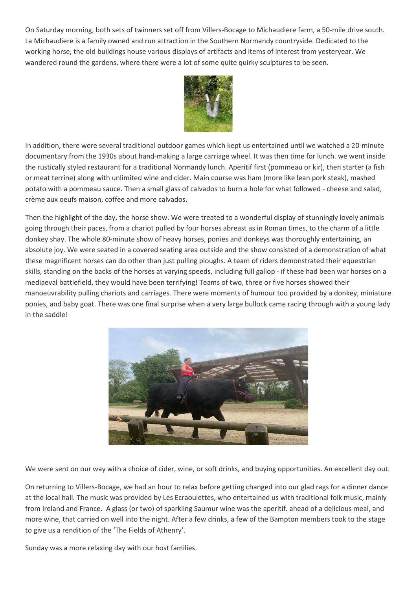On Saturday morning, both sets of twinners set off from Villers-Bocage to Michaudiere farm, a 50-mile drive south. La Michaudiere is a family owned and run attraction in the Southern Normandy countryside. Dedicated to the working horse, the old buildings house various displays of artifacts and items of interest from yesteryear. We wandered round the gardens, where there were a lot of some quite quirky sculptures to be seen.



In addition, there were several traditional outdoor games which kept us entertained until we watched a 20-minute documentary from the 1930s about hand-making a large carriage wheel. It was then time for lunch. we went inside the rustically styled restaurant for a traditional Normandy lunch. Aperitif first (pommeau or kir), then starter (a fish or meat terrine) along with unlimited wine and cider. Main course was ham (more like lean pork steak), mashed potato with a pommeau sauce. Then a small glass of calvados to burn a hole for what followed - cheese and salad, crème aux oeufs maison, coffee and more calvados.

Then the highlight of the day, the horse show. We were treated to a wonderful display of stunningly lovely animals going through their paces, from a chariot pulled by four horses abreast as in Roman times, to the charm of a little donkey shay. The whole 80-minute show of heavy horses, ponies and donkeys was thoroughly entertaining, an absolute joy. We were seated in a covered seating area outside and the show consisted of a demonstration of what these magnificent horses can do other than just pulling ploughs. A team of riders demonstrated their equestrian skills, standing on the backs of the horses at varying speeds, including full gallop - if these had been war horses on a mediaeval battlefield, they would have been terrifying! Teams of two, three or five horses showed their manoeuvrability pulling chariots and carriages. There were moments of humour too provided by a donkey, miniature ponies, and baby goat. There was one final surprise when a very large bullock came racing through with a young lady in the saddle!



We were sent on our way with a choice of cider, wine, or soft drinks, and buying opportunities. An excellent day out.

On returning to Villers-Bocage, we had an hour to relax before getting changed into our glad rags for a dinner dance at the local hall. The music was provided by Les Ecraoulettes, who entertained us with traditional folk music, mainly from Ireland and France. A glass (or two) of sparkling Saumur wine was the aperitif. ahead of a delicious meal, and more wine, that carried on well into the night. After a few drinks, a few of the Bampton members took to the stage to give us a rendition of the 'The Fields of Athenry'.

Sunday was a more relaxing day with our host families.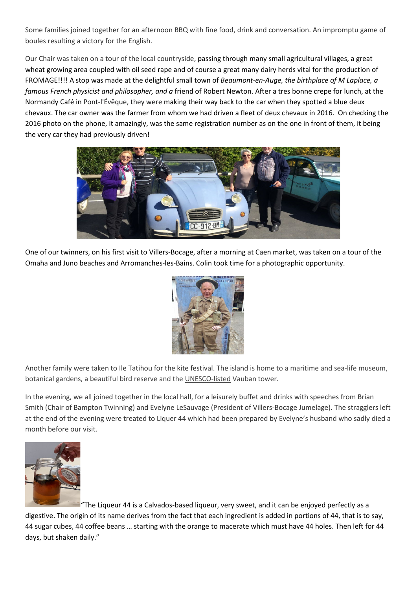Some families joined together for an afternoon BBQ with fine food, drink and conversation. An impromptu game of boules resulting a victory for the English.

Our Chair was taken on a tour of the local countryside, passing through many small agricultural villages, a great wheat growing area coupled with oil seed rape and of course a great many dairy herds vital for the production of FROMAGE!!!! A stop was made at the delightful small town of *Beaumont-en-Auge, the birthplace of M Laplace, a famous French physicist and philosopher, and a* friend of Robert Newton. After a tres bonne crepe for lunch, at the Normandy Café in Pont-l'Évêque, they were making their way back to the car when they spotted a blue deux chevaux. The car owner was the farmer from whom we had driven a fleet of deux chevaux in 2016. On checking the 2016 photo on the phone, it amazingly, was the same registration number as on the one in front of them, it being the very car they had previously driven!



One of our twinners, on his first visit to Villers-Bocage, after a morning at Caen market, was taken on a tour of the Omaha and Juno beaches and Arromanches-les-Bains. Colin took time for a photographic opportunity.



Another family were taken to Ile Tatihou for the kite festival. The island is home to a maritime and sea-life museum, botanical gardens, a beautiful bird reserve and the [UNESCO-listed](https://en.normandie-tourisme.fr/unesco-world-heritage-sites/) Vauban tower.

In the evening, we all joined together in the local hall, for a leisurely buffet and drinks with speeches from Brian Smith (Chair of Bampton Twinning) and Evelyne LeSauvage (President of Villers-Bocage Jumelage). The stragglers left at the end of the evening were treated to Liquer 44 which had been prepared by Evelyne's husband who sadly died a month before our visit.



"The Liqueur 44 is a Calvados-based liqueur, very sweet, and it can be enjoyed perfectly as a digestive. The origin of its name derives from the fact that each ingredient is added in portions of 44, that is to say, 44 sugar cubes, 44 coffee beans … starting with the orange to macerate which must have 44 holes. Then left for 44 days, but shaken daily."